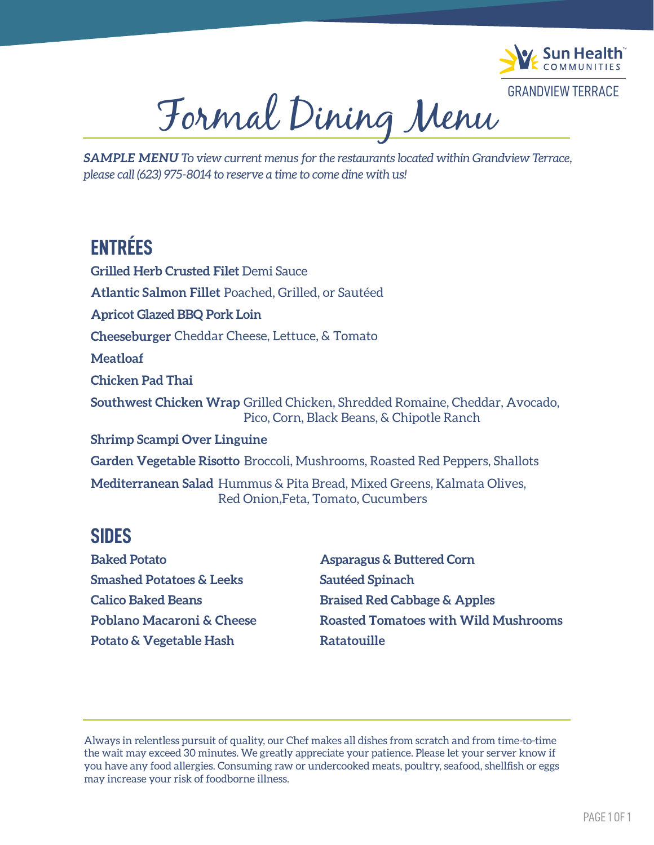

Formal Dining Menu

*SAMPLE MENU To view current menus for the restaurants located within Grandview Terrace, please call (623) 975-8014 to reserve a time to come dine with us!*

# **ENTRÉES**

**Grilled Herb Crusted Filet** Demi Sauce **Apricot Glazed BBQ Pork Loin Atlantic Salmon Fillet** Poached, Grilled, or Sautéed **Cheeseburger** Cheddar Cheese, Lettuce, & Tomato **Meatloaf Southwest Chicken Wrap** Grilled Chicken, Shredded Romaine, Cheddar, Avocado, Pico, Corn, Black Beans, & Chipotle Ranch **Shrimp Scampi Over Linguine Garden Vegetable Risotto** Broccoli, Mushrooms, Roasted Red Peppers, Shallots **Chicken Pad Thai Mediterranean Salad** Hummus & Pita Bread, Mixed Greens, Kalmata Olives, Red Onion,Feta, Tomato, Cucumbers

#### **SIDES**

**Baked Potato Smashed Potatoes & Leeks Calico Baked Beans Poblano Macaroni & Cheese Potato & Vegetable Hash**

**Asparagus & Buttered Corn Sautéed Spinach Braised Red Cabbage & Apples Roasted Tomatoes with Wild Mushrooms Ratatouille**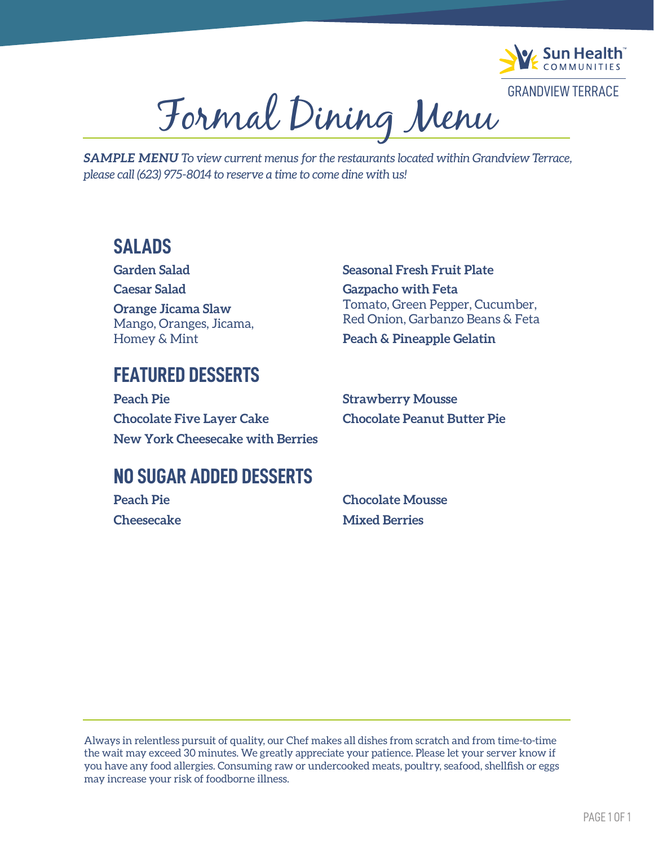

Formal Dining Menu

*SAMPLE MENU To view current menus for the restaurants located within Grandview Terrace, please call (623) 975-8014 to reserve a time to come dine with us!*

#### **SALADS**

**Garden Salad Caesar Salad Orange Jicama Slaw** Mango, Oranges, Jicama, Homey & Mint

# **FEATURED DESSERTS**

**Peach Pie Chocolate Five Layer Cake New York Cheesecake with Berries** **Seasonal Fresh Fruit Plate Gazpacho with Feta**  Tomato, Green Pepper, Cucumber, Red Onion, Garbanzo Beans & Feta **Peach & Pineapple Gelatin**

**Strawberry Mousse Chocolate Peanut Butter Pie**

## **NO SUGAR ADDED DESSERTS**

**Peach Pie Cheesecake** **Chocolate Mousse Mixed Berries**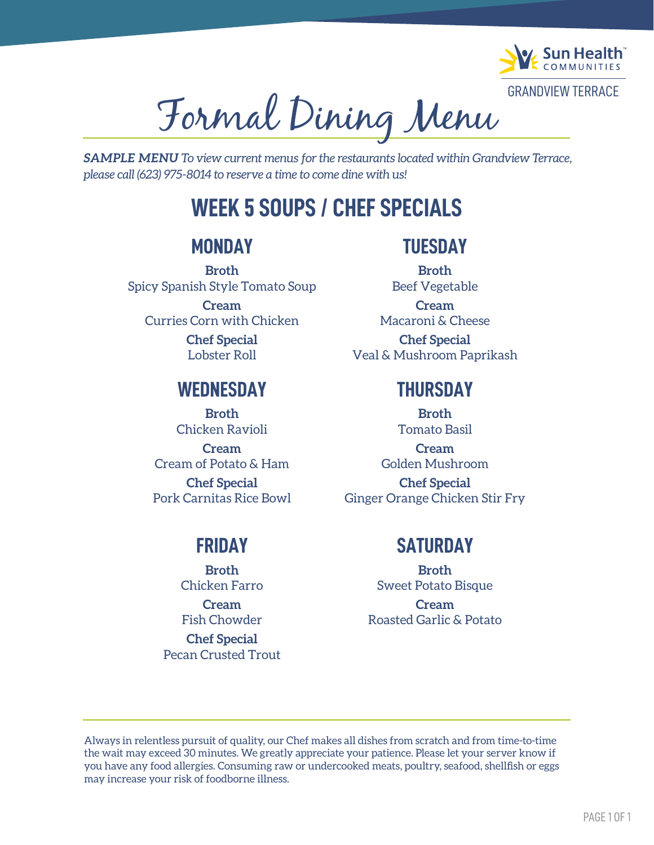

Formal Dining Menu

*SAMPLE MENU To view current menus for the restaurants located within Grandview Terrace, please call (623) 975-8014 to reserve a time to come dine with us!*

# **WEEK 5 SOUPS / CHEF SPECIALS**

#### **MONDAY**

**Broth** Spicy Spanish Style Tomato Soup **Cream** Curries Corn with Chicken **Chef Special**

Lobster Roll

#### **WEDNESDAY**

**Broth** Chicken Ravioli **Cream** Cream of Potato & Ham **Chef Special** Pork Carnitas Rice Bowl

#### **TUESDAY**

- **Broth** Beef Vegetable
- **Cream** Macaroni & Cheese **Chef Special** Veal & Mushroom Paprikash

#### **THURSDAY**

**Broth** Tomato Basil **Cream** Golden Mushroom **Chef Special** Ginger Orange Chicken Stir Fry

## **FRIDAY**

**Broth** Chicken Farro **Cream** Fish Chowder **Chef Special** Pecan Crusted Trout

## **SATURDAY**

**Broth** Sweet Potato Bisque **Cream** Roasted Garlic & Potato